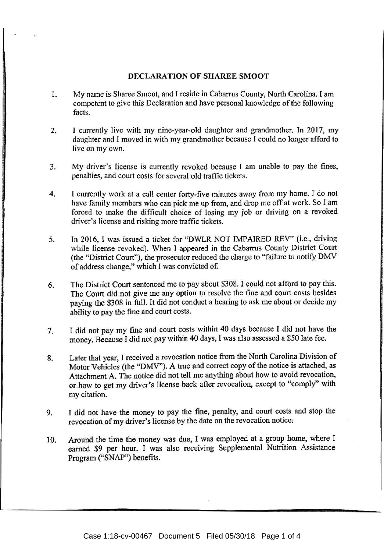## DECLARATION OF SHAREE SMOOT

- 1. My name is Sharee Smoot, and T reside in Cabarrus County, North Carolina. I am competent to give this Declaration and have personal knowledge of the following facts.
- 2. I currently live with my nine-year-old daughter and grandmother. In 2017, my daughter and I moved in with my grandmother because I could no longer afford to live on my own.
- 3. My driver's license is currently revoked because I am unable to pay the fines, penalties, and court costs for several old traffic tickets.
- 4. I currently work at a call center forty-five minutes away from my home. I do not have family members who can pick me up from, and drop me off at work. So I am forced to make the difficult choice of losing my job or driving on a revoked driver's license and risking more traffic tickets.
- 5. Jn 2016, I was issued a ticket for "DWLR NOT IMPAIRED REV" (i.e., driving while license revoked). When T appeared in the Cabarrus County District Court (the "District Court"), the prosecutor reduced the charge to "failure to notify DMV of address change," which *1* was convicted of.
- 6. The District Court sentenced me to pay about \$308. I could not afford to pay this. The Court did not give me any option to resolve the fine and court costs besides paying the \$308 in full. It did not conduct a hearing to ask me about or decide my ability to pay the fine and court costs.
- 7. T did not pay my fine and court costs within 40 days because I did not have the money. Because I did not pay within 40 days~ I was also assessed a *\$50* late fee.
- 8. Later that year, I received a revocation notice from the North Carolina Division of Motor Vehicles (the "DMV"). A true and correct copy of the notice is attached, as Attachment A. The notice did not tell me anything about how to avoid revocation, or how to get my driver's license back after revocation, except to "comply" with my citation.
- 9. I did not have the money to pay the fine, penalty, and court costs and stop the revocation of my driver's license by the date on the revocation notice:
- 10. Around the time the money was due, I was employed at a group home, where I earned \$9 per hour. I was also receiving Supplemental Nutrition Assistance Program ("SNAP") benefits.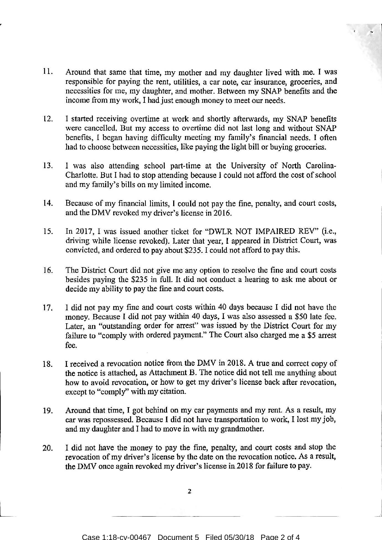- 11. Around that same that time, my mother and my daughter lived with me. I was responsible for paying the rent, utilities, a car note, car insurance, groceries, and necessities for me, my daughter, and mother. Between my SNAP benefits and the income from my work, I had just enough money to meet our needs.
- 12. I started receiving overtime at work and shortly afterwards, my SNAP benefits were cancelled. But my access to overtime did not last long and without SNAP benefits, I began having difficulty meeting my family's financial needs. I often had to choose between necessities, like paying the light bill or buying groceries.
- 13. I was also attending school part-time at the University of North Carolina-Charlotte. But I had to stop attending because I could not afford the cost of school and my family's bills on my limited income.
- 14. Because of my financial limits, I could not pay the fine, penalty, and court costs, and the DMV revoked my driver's license in 2016.
- 15. In 2017, I was issued another ticket for "DWLR NOT IMPAIRED REV" (i.e., driving while license revoked). Later that year, I appeared in District Court, was convicted, and ordered to pay about \$235. I could not afford to pay this.
- 16. The District Court did not give me any option to resolve the fine and court costs besides paying the \$235 in full. It did not conduct a hearing to ask me about or decide my ability to pay the fine and court costs.
- 17. I did not pay my fine and court costs within 40 days because I did not have the money. Because I did not pay within 40 days, I was also assessed a \$50 late fee. Later, an "outstanding order for arrest'' was issued by the District Court for my failure to "comply with ordered payment." The Court also charged me a \$5 arrest fee.
- 18. I received a revocation notice from the DMV in 2018. A true and correct copy of the notice is attached, as Attachment B. The notice did not tell me anything about how to avoid revocation, or how to get my driver's license back after revocation, except to "comply" with my citation.
- 19. Around that time, I got behind on my car payments and my rent. As a result, my car was repossessed. Because I did not have transportation to work, I lost my job, and my daughter and I had to move in with my grandmother.
- 20. I did not have the money to pay the fine, penalty, and court costs and stop the revocation of my driver's license by the date on the revocation notice. As a result, the DMV once again revoked my driver's license in 2018 for failure to pay.

2

 $\mathcal{L}$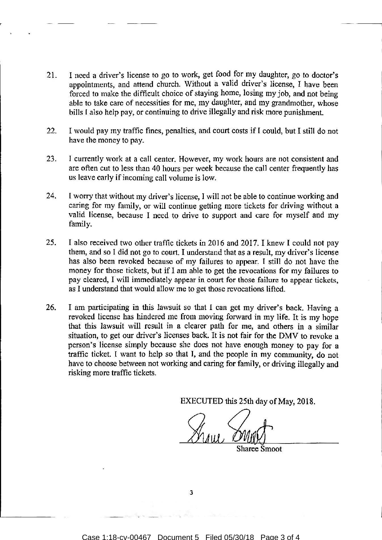- 21. I need a driver's license to go to work, get food for my daughter, go to doctor's appointments, and attend church. Without a valid driver's license, I have been forced to make the difficult choice of staying home, losing my job, and not being able to take care of necessities for me, my daughter, and my grandmother, whose bills I also help pay, or continuing to drive illegally and risk more punishment.
- 22. I would pay my traffic fines, penalties, and court costs if I could, but I stilt do not have the money to pay.
- 23. I currently work at a call center. However, my work hours are not consistent and are often cut to less than 40 hours per week because the cal1 center frequently has us leave early if incoming call volume is low.
- 24. I worry that without my driver's license, I will not be able to continue working and caring for my family, or will continue getting more tickets for driving without a valid license, because I need to drive to support and care for myself and my family.
- 25. I also received two other traffic tickets in 2016 and 2017. I knew I could not pay them, and so I did not go to court. I understand that as a result, my driver's license has also been revoked because of my failures to appear. I still do not have the money for those tickets, but if I am able to get the revocations for my failures to pay cleared, l will immediately appear in court for those failure to appear tickets, as I understand that would allow me to get those revocations lifted.
- 26. I am participating in this lawsuit so that I can get my driver's back. Having a revoked license has hindered me from moving forward in my life. It is my hope that this lawsuit will result in a dearer path for me, and others in a similar situation, to get our driver's licenses back. It is not fair for the DMV to revoke a person's license simply because she does not have enough money to pay for a traffic ticket. I want to help so that I, and the people in my community, do not have to choose between not working and caring for family, or driving illegally and risking more traffic tickets.

EXECUTED this 25th day of May, 2018.

Sharee Smoot

3